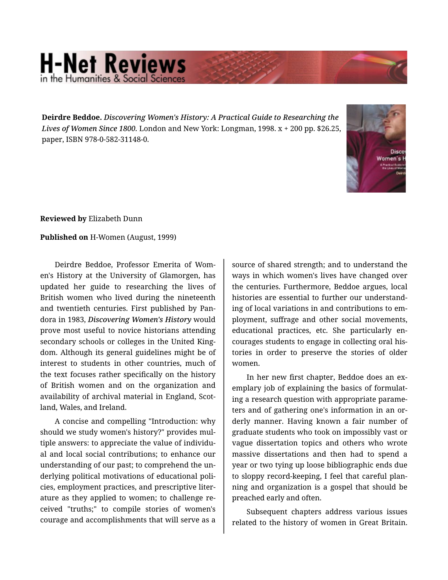## **H-Net Reviews** in the Humanities & Social S

**Deirdre Beddoe.** *Discovering Women's History: A Practical Guide to Researching the Lives of Women Since 1800.* London and New York: Longman, 1998. x + 200 pp. \$26.25, paper, ISBN 978-0-582-31148-0.



**Reviewed by** Elizabeth Dunn

**Published on** H-Women (August, 1999)

Deirdre Beddoe, Professor Emerita of Wom‐ en's History at the University of Glamorgen, has updated her guide to researching the lives of British women who lived during the nineteenth and twentieth centuries. First published by Pan‐ dora in 1983, *Discovering Women's History* would prove most useful to novice historians attending secondary schools or colleges in the United King‐ dom. Although its general guidelines might be of interest to students in other countries, much of the text focuses rather specifically on the history of British women and on the organization and availability of archival material in England, Scot‐ land, Wales, and Ireland.

A concise and compelling "Introduction: why should we study women's history?" provides mul‐ tiple answers: to appreciate the value of individu‐ al and local social contributions; to enhance our understanding of our past; to comprehend the un‐ derlying political motivations of educational poli‐ cies, employment practices, and prescriptive liter‐ ature as they applied to women; to challenge re‐ ceived "truths;" to compile stories of women's courage and accomplishments that will serve as a

source of shared strength; and to understand the ways in which women's lives have changed over the centuries. Furthermore, Beddoe argues, local histories are essential to further our understand‐ ing of local variations in and contributions to em‐ ployment, suffrage and other social movements, educational practices, etc. She particularly en‐ courages students to engage in collecting oral his‐ tories in order to preserve the stories of older women.

In her new first chapter, Beddoe does an ex‐ emplary job of explaining the basics of formulat‐ ing a research question with appropriate parame‐ ters and of gathering one's information in an or‐ derly manner. Having known a fair number of graduate students who took on impossibly vast or vague dissertation topics and others who wrote massive dissertations and then had to spend a year or two tying up loose bibliographic ends due to sloppy record-keeping, I feel that careful plan‐ ning and organization is a gospel that should be preached early and often.

Subsequent chapters address various issues related to the history of women in Great Britain.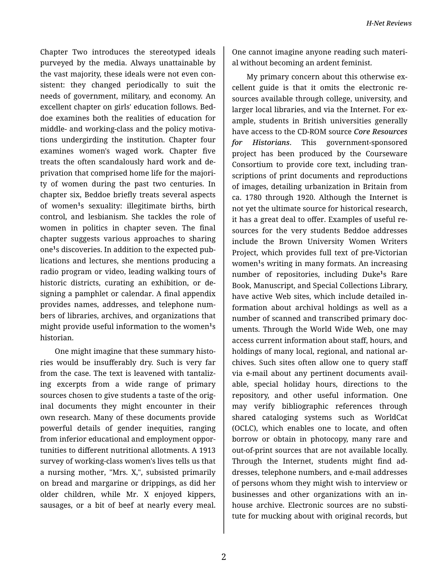Chapter Two introduces the stereotyped ideals purveyed by the media. Always unattainable by the vast majority, these ideals were not even con‐ sistent: they changed periodically to suit the needs of government, military, and economy. An excellent chapter on girls' education follows. Bed‐ doe examines both the realities of education for middle- and working-class and the policy motiva‐ tions undergirding the institution. Chapter four examines women's waged work. Chapter five treats the often scandalously hard work and de‐ privation that comprised home life for the majori‐ ty of women during the past two centuries. In chapter six, Beddoe briefly treats several aspects of women<sup>1</sup>s sexuality: illegitimate births, birth control, and lesbianism. She tackles the role of women in politics in chapter seven. The final chapter suggests various approaches to sharing one<sup>1</sup>s discoveries. In addition to the expected publications and lectures, she mentions producing a radio program or video, leading walking tours of historic districts, curating an exhibition, or de‐ signing a pamphlet or calendar. A final appendix provides names, addresses, and telephone num‐ bers of libraries, archives, and organizations that might provide useful information to the women<sup>1</sup>s historian.

One might imagine that these summary histo‐ ries would be insufferably dry. Such is very far from the case. The text is leavened with tantaliz‐ ing excerpts from a wide range of primary sources chosen to give students a taste of the original documents they might encounter in their own research. Many of these documents provide powerful details of gender inequities, ranging from inferior educational and employment oppor‐ tunities to different nutritional allotments. A 1913 survey of working-class women's lives tells us that a nursing mother, "Mrs. X,", subsisted primarily on bread and margarine or drippings, as did her older children, while Mr. X enjoyed kippers, sausages, or a bit of beef at nearly every meal.

One cannot imagine anyone reading such materi‐ al without becoming an ardent feminist.

My primary concern about this otherwise ex‐ cellent guide is that it omits the electronic re‐ sources available through college, university, and larger local libraries, and via the Internet. For example, students in British universities generally have access to the CD-ROM source *Core Resources for Historians*. This government-sponsored project has been produced by the Courseware Consortium to provide core text, including tran‐ scriptions of print documents and reproductions of images, detailing urbanization in Britain from ca. 1780 through 1920. Although the Internet is not yet the ultimate source for historical research, it has a great deal to offer. Examples of useful re‐ sources for the very students Beddoe addresses include the Brown University Women Writers Project, which provides full text of pre-Victorian women<sup>1</sup>s writing in many formats. An increasing number of repositories, including Duke<sup>1</sup>s Rare Book, Manuscript, and Special Collections Library, have active Web sites, which include detailed in‐ formation about archival holdings as well as a number of scanned and transcribed primary doc‐ uments. Through the World Wide Web, one may access current information about staff, hours, and holdings of many local, regional, and national ar‐ chives. Such sites often allow one to query staff via e-mail about any pertinent documents avail‐ able, special holiday hours, directions to the repository, and other useful information. One may verify bibliographic references through shared cataloging systems such as WorldCat (OCLC), which enables one to locate, and often borrow or obtain in photocopy, many rare and out-of-print sources that are not available locally. Through the Internet, students might find ad‐ dresses, telephone numbers, and e-mail addresses of persons whom they might wish to interview or businesses and other organizations with an inhouse archive. Electronic sources are no substi‐ tute for mucking about with original records, but